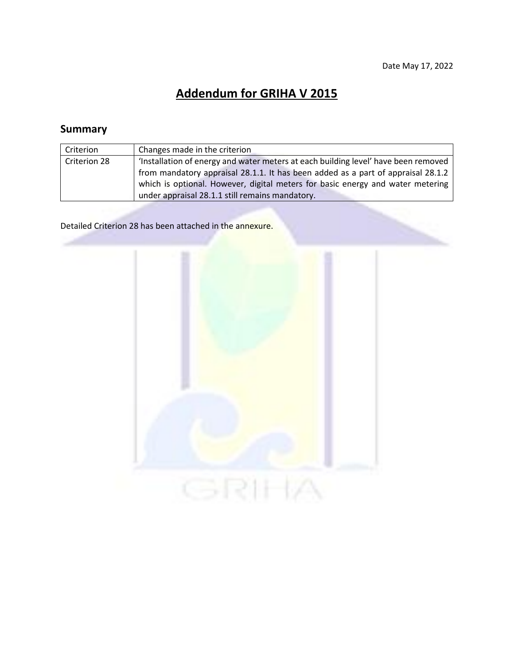# **Addendum for GRIHA V 2015**

# **Summary**

| Criterion    | Changes made in the criterion                                                      |  |
|--------------|------------------------------------------------------------------------------------|--|
| Criterion 28 | 'Installation of energy and water meters at each building level' have been removed |  |
|              | from mandatory appraisal 28.1.1. It has been added as a part of appraisal 28.1.2   |  |
|              | which is optional. However, digital meters for basic energy and water metering     |  |
|              | under appraisal 28.1.1 still remains mandatory.                                    |  |

Detailed Criterion 28 has been attached in the annexure.

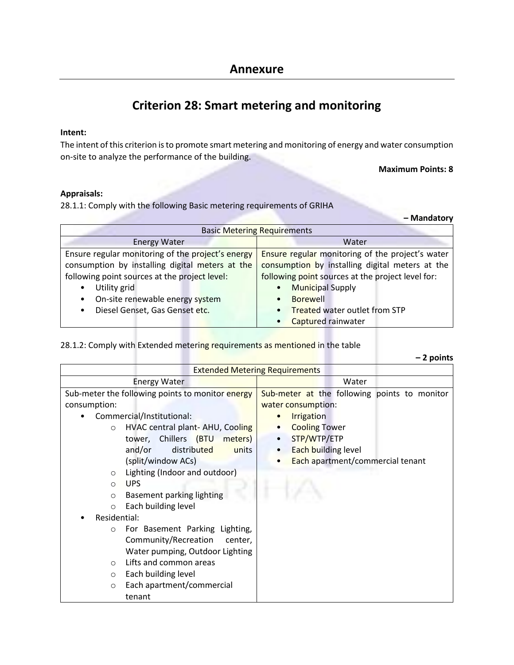# **Criterion 28: Smart metering and monitoring**

## **Intent:**

The intent of this criterion is to promote smart metering and monitoring of energy and water consumption on-site to analyze the performance of the building.

**Maximum Points: 8**

### **Appraisals:**

28.1.1: Comply with the following Basic metering requirements of GRIHA

**– Mandatory**

| <b>Basic Metering Requirements</b>                |                                                   |  |  |
|---------------------------------------------------|---------------------------------------------------|--|--|
| <b>Energy Water</b>                               | Water                                             |  |  |
| Ensure regular monitoring of the project's energy | Ensure regular monitoring of the project's water  |  |  |
| consumption by installing digital meters at the   | consumption by installing digital meters at the   |  |  |
| following point sources at the project level:     | following point sources at the project level for: |  |  |
| Utility grid<br>٠                                 | <b>Municipal Supply</b><br>$\bullet$              |  |  |
| On-site renewable energy system<br>٠              | <b>Borewell</b><br>$\bullet$                      |  |  |
| Diesel Genset, Gas Genset etc.<br>٠               | <b>Treated water outlet from STP</b><br>$\bullet$ |  |  |
|                                                   | Captured rainwater                                |  |  |

### 28.1.2: Comply with Extended metering requirements as mentioned in the table

|                                                  | $-2$ points                                   |  |  |
|--------------------------------------------------|-----------------------------------------------|--|--|
| <b>Extended Metering Requirements</b>            |                                               |  |  |
| <b>Energy Water</b>                              | Water                                         |  |  |
| Sub-meter the following points to monitor energy | Sub-meter at the following points to monitor  |  |  |
| consumption:                                     | water consumption:                            |  |  |
| Commercial/Institutional:                        | <b>Irrigation</b>                             |  |  |
| HVAC central plant-AHU, Cooling<br>$\circ$       | <b>Cooling Tower</b>                          |  |  |
| tower, Chillers (BTU<br>meters)                  | STP/WTP/ETP                                   |  |  |
| distributed<br>and/or<br>units                   | Each building level                           |  |  |
| (split/window ACs)                               | Each apartment/commercial tenant<br>$\bullet$ |  |  |
| Lighting (Indoor and outdoor)<br>$\circ$         |                                               |  |  |
| <b>UPS</b><br>$\Omega$                           |                                               |  |  |
| Basement parking lighting<br>$\circ$             |                                               |  |  |
| Each building level<br>$\circ$                   |                                               |  |  |
| Residential:                                     |                                               |  |  |
| For Basement Parking Lighting,<br>$\circ$        |                                               |  |  |
| Community/Recreation<br>center,                  |                                               |  |  |
| Water pumping, Outdoor Lighting                  |                                               |  |  |
| Lifts and common areas<br>$\circ$                |                                               |  |  |
| Each building level<br>$\circ$                   |                                               |  |  |
| Each apartment/commercial<br>$\circ$             |                                               |  |  |
| tenant                                           |                                               |  |  |